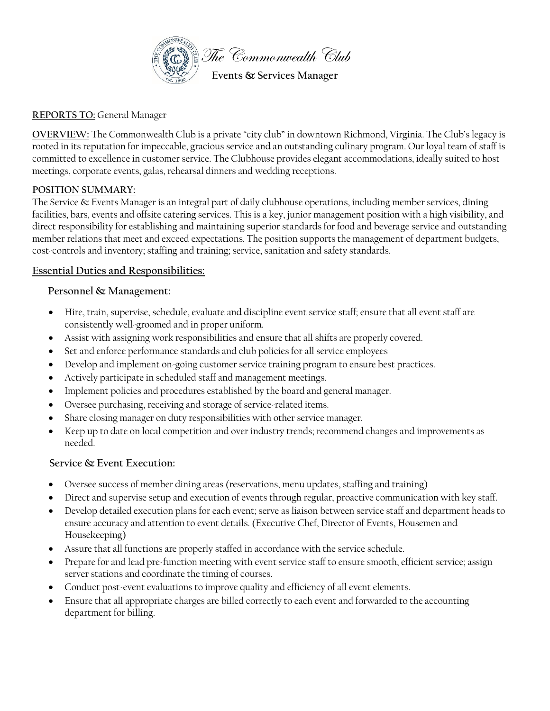

## **REPORTS TO:** General Manager

**OVERVIEW:** The Commonwealth Club is a private "city club" in downtown Richmond, Virginia. The Club's legacy is rooted in its reputation for impeccable, gracious service and an outstanding culinary program. Our loyal team of staff is committed to excellence in customer service. The Clubhouse provides elegant accommodations, ideally suited to host meetings, corporate events, galas, rehearsal dinners and wedding receptions.

## **POSITION SUMMARY:**

The Service & Events Manager is an integral part of daily clubhouse operations, including member services, dining facilities, bars, events and offsite catering services. This is a key, junior management position with a high visibility, and direct responsibility for establishing and maintaining superior standards for food and beverage service and outstanding member relations that meet and exceed expectations. The position supports the management of department budgets, cost-controls and inventory; staffing and training; service, sanitation and safety standards.

## **Essential Duties and Responsibilities:**

## **Personnel & Management:**

- Hire, train, supervise, schedule, evaluate and discipline event service staff; ensure that all event staff are consistently well-groomed and in proper uniform.
- Assist with assigning work responsibilities and ensure that all shifts are properly covered.
- Set and enforce performance standards and club policies for all service employees
- Develop and implement on-going customer service training program to ensure best practices.
- Actively participate in scheduled staff and management meetings.
- Implement policies and procedures established by the board and general manager.
- Oversee purchasing, receiving and storage of service-related items.
- Share closing manager on duty responsibilities with other service manager.
- Keep up to date on local competition and over industry trends; recommend changes and improvements as needed.

#### **Service & Event Execution:**

- Oversee success of member dining areas (reservations, menu updates, staffing and training)
- Direct and supervise setup and execution of events through regular, proactive communication with key staff.
- Develop detailed execution plans for each event; serve as liaison between service staff and department heads to ensure accuracy and attention to event details. (Executive Chef, Director of Events, Housemen and Housekeeping)
- Assure that all functions are properly staffed in accordance with the service schedule.
- Prepare for and lead pre-function meeting with event service staff to ensure smooth, efficient service; assign server stations and coordinate the timing of courses.
- Conduct post-event evaluations to improve quality and efficiency of all event elements.
- Ensure that all appropriate charges are billed correctly to each event and forwarded to the accounting department for billing.